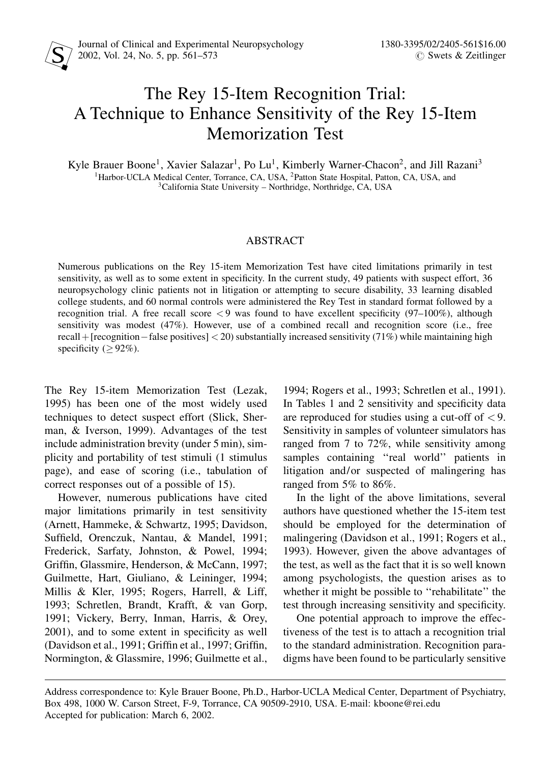# The Rey 15-Item Recognition Trial: A Technique to Enhance Sensitivity of the Rey 15-Item Memorization Test

Kyle Brauer Boone<sup>1</sup>, Xavier Salazar<sup>1</sup>, Po Lu<sup>1</sup>, Kimberly Warner-Chacon<sup>2</sup>, and Jill Razani<sup>3</sup> <sup>1</sup>Harbor-UCLA Medical Center, Torrance, CA, USA, <sup>2</sup>Patton State Hospital, Patton, CA, USA, and <sup>3</sup>California State University – Northridge, Northridge, CA, USA

# ABSTRACT

Numerous publications on the Rey 15-item Memorization Test have cited limitations primarily in test sensitivity, as well as to some extent in specificity. In the current study, 49 patients with suspect effort, 36 neuropsychology clinic patients not in litigation or attempting to secure disability, 33 learning disabled college students, and 60 normal controls were administered the Rey Test in standard format followed by a recognition trial. A free recall score  $\lt 9$  was found to have excellent specificity (97–100%), although sensitivity was modest (47%). However, use of a combined recall and recognition score (i.e., free recall + [recognition – false positives]  $<$  20) substantially increased sensitivity (71%) while maintaining high specificity ( $> 92\%$ ).

The Rey 15-item Memorization Test (Lezak, 1995) has been one of the most widely used techniques to detect suspect effort (Slick, Sherman, & Iverson, 1999). Advantages of the test include administration brevity (under 5 min), simplicity and portability of test stimuli (1 stimulus page), and ease of scoring (i.e., tabulation of correct responses out of a possible of 15).

However, numerous publications have cited major limitations primarily in test sensitivity (Arnett, Hammeke, & Schwartz, 1995; Davidson, Suffield, Orenczuk, Nantau, & Mandel, 1991; Frederick, Sarfaty, Johnston, & Powel, 1994; Griffin, Glassmire, Henderson, & McCann, 1997; Guilmette, Hart, Giuliano, & Leininger, 1994; Millis & Kler, 1995; Rogers, Harrell, & Liff, 1993; Schretlen, Brandt, Krafft, & van Gorp, 1991; Vickery, Berry, Inman, Harris, & Orey,  $2001$ ), and to some extent in specificity as well (Davidson et al., 1991; Griffin et al., 1997; Griffin, Normington, & Glassmire, 1996; Guilmette et al., 1994; Rogers et al., 1993; Schretlen et al., 1991). In Tables 1 and 2 sensitivity and specificity data are reproduced for studies using a cut-off of  $\langle 9 \rangle$ . Sensitivity in samples of volunteer simulators has ranged from 7 to 72%, while sensitivity among samples containing "real world" patients in litigation and/or suspected of malingering has ranged from 5% to 86%.

In the light of the above limitations, several authors have questioned whether the 15-item test should be employed for the determination of malingering (Davidson et al., 1991; Rogers et al., 1993). However, given the above advantages of the test, as well as the fact that it is so well known among psychologists, the question arises as to whether it might be possible to "rehabilitate" the test through increasing sensitivity and specificity.

One potential approach to improve the effectiveness of the test is to attach a recognition trial to the standard administration. Recognition paradigms have been found to be particularly sensitive

Address correspondence to: Kyle Brauer Boone, Ph.D., Harbor-UCLA Medical Center, Department of Psychiatry, Box 498, 1000 W. Carson Street, F-9, Torrance, CA 90509-2910, USA. E-mail: kboone@rei.edu Accepted for publication: March 6, 2002.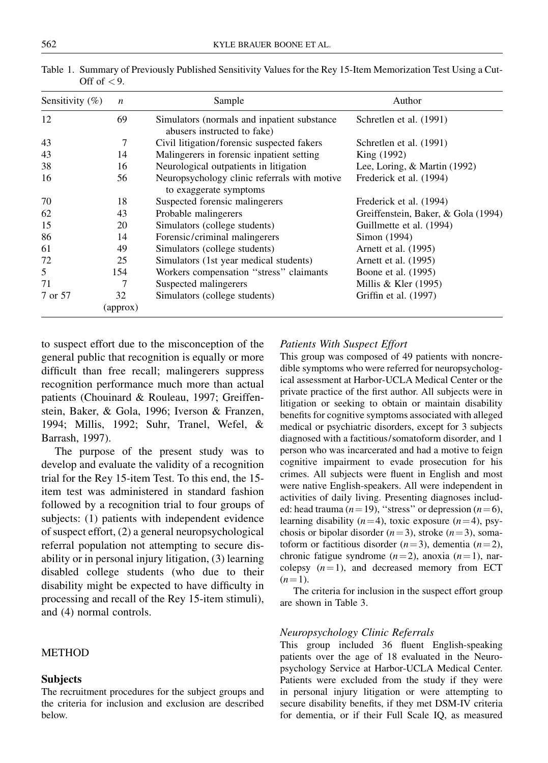| Sensitivity $(\%)$ | $\boldsymbol{n}$ | Sample                                                                      | Author                              |
|--------------------|------------------|-----------------------------------------------------------------------------|-------------------------------------|
| 12                 | 69               | Simulators (normals and inpatient substance)<br>abusers instructed to fake) | Schretlen et al. (1991)             |
| 43                 | 7                | Civil litigation/forensic suspected fakers                                  | Schretlen et al. (1991)             |
| 43                 | 14               | Malingerers in forensic inpatient setting                                   | King (1992)                         |
| 38                 | 16               | Neurological outpatients in litigation                                      | Lee, Loring, & Martin (1992)        |
| 16                 | 56               | Neuropsychology clinic referrals with motive<br>to exaggerate symptoms      | Frederick et al. (1994)             |
| 70                 | 18               | Suspected forensic malingerers                                              | Frederick et al. (1994)             |
| 62                 | 43               | Probable malingerers                                                        | Greiffenstein, Baker, & Gola (1994) |
| 15                 | 20               | Simulators (college students)                                               | Guillmette et al. (1994)            |
| 86                 | 14               | Forensic/criminal malingerers                                               | Simon (1994)                        |
| 61                 | 49               | Simulators (college students)                                               | Arnett et al. (1995)                |
| 72                 | 25               | Simulators (1st year medical students)                                      | Arnett et al. (1995)                |
| 5                  | 154              | Workers compensation "stress" claimants                                     | Boone et al. (1995)                 |
| 71                 | 7                | Suspected malingerers                                                       | Millis & Kler $(1995)$              |
| 7 or 57            | 32               | Simulators (college students)                                               | Griffin et al. (1997)               |
|                    | (approx)         |                                                                             |                                     |

Table 1. Summary of Previously Published Sensitivity Values for the Rey 15-Item Memorization Test Using a Cut-Off of  $< 9$ .

to suspect effort due to the misconception of the general public that recognition is equally or more difficult than free recall; malingerers suppress recognition performance much more than actual patients (Chouinard & Rouleau, 1997; Greiffenstein, Baker, & Gola, 1996; Iverson & Franzen, 1994; Millis, 1992; Suhr, Tranel, Wefel, & Barrash, 1997).

The purpose of the present study was to develop and evaluate the validity of a recognition trial for the Rey 15-item Test. To this end, the 15 item test was administered in standard fashion followed by a recognition trial to four groups of subjects: (1) patients with independent evidence of suspect effort, (2) a general neuropsychological referral population not attempting to secure disability or in personal injury litigation, (3) learning disabled college students (who due to their disability might be expected to have difficulty in processing and recall of the Rey 15-item stimuli), and (4) normal controls.

## **METHOD**

#### Subjects

The recruitment procedures for the subject groups and the criteria for inclusion and exclusion are described below.

#### Patients With Suspect Effort

This group was composed of 49 patients with noncredible symptoms who were referred for neuropsychological assessment at Harbor-UCLA Medical Center or the private practice of the first author. All subjects were in litigation or seeking to obtain or maintain disability benefits for cognitive symptoms associated with alleged medical or psychiatric disorders, except for 3 subjects diagnosed with a factitious/somatoform disorder, and 1 person who was incarcerated and had a motive to feign cognitive impairment to evade prosecution for his crimes. All subjects were fluent in English and most were native English-speakers. All were independent in activities of daily living. Presenting diagnoses included: head trauma ( $n=19$ ), "stress" or depression ( $n=6$ ), learning disability ( $n=4$ ), toxic exposure ( $n=4$ ), psychosis or bipolar disorder  $(n=3)$ , stroke  $(n=3)$ , somatoform or factitious disorder  $(n=3)$ , dementia  $(n=2)$ , chronic fatigue syndrome  $(n=2)$ , anoxia  $(n=1)$ , narcolepsy  $(n=1)$ , and decreased memory from ECT  $(n=1)$ .

The criteria for inclusion in the suspect effort group are shown in Table 3.

#### Neuropsychology Clinic Referrals

This group included 36 fluent English-speaking patients over the age of 18 evaluated in the Neuropsychology Service at Harbor-UCLA Medical Center. Patients were excluded from the study if they were in personal injury litigation or were attempting to secure disability benefits, if they met DSM-IV criteria for dementia, or if their Full Scale IQ, as measured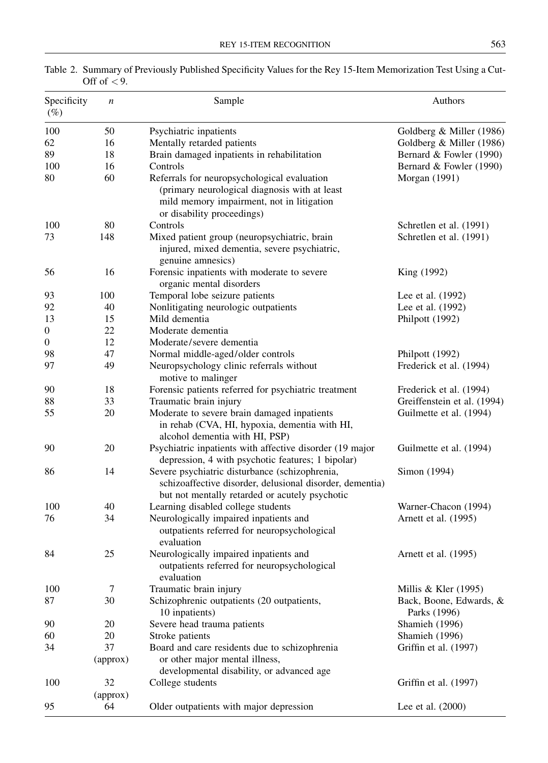| Specificity<br>$(\%)$ | n              | Sample                                                                                                                                                                  | Authors                                 |
|-----------------------|----------------|-------------------------------------------------------------------------------------------------------------------------------------------------------------------------|-----------------------------------------|
| 100                   | 50             | Psychiatric inpatients                                                                                                                                                  | Goldberg & Miller (1986)                |
| 62                    | 16             | Mentally retarded patients                                                                                                                                              | Goldberg & Miller (1986)                |
| 89                    | 18             | Brain damaged inpatients in rehabilitation                                                                                                                              | Bernard & Fowler (1990)                 |
| 100                   | 16             | Controls                                                                                                                                                                | Bernard & Fowler (1990)                 |
| 80                    | 60             | Referrals for neuropsychological evaluation<br>(primary neurological diagnosis with at least<br>mild memory impairment, not in litigation<br>or disability proceedings) | Morgan (1991)                           |
| 100                   | 80             | Controls                                                                                                                                                                | Schretlen et al. (1991)                 |
| 73                    | 148            | Mixed patient group (neuropsychiatric, brain<br>injured, mixed dementia, severe psychiatric,<br>genuine amnesics)                                                       | Schretlen et al. (1991)                 |
| 56                    | 16             | Forensic inpatients with moderate to severe<br>organic mental disorders                                                                                                 | King (1992)                             |
| 93                    | 100            | Temporal lobe seizure patients                                                                                                                                          | Lee et al. (1992)                       |
| 92                    | 40             | Nonlitigating neurologic outpatients                                                                                                                                    | Lee et al. (1992)                       |
| 13                    | 15             | Mild dementia                                                                                                                                                           | Philpott (1992)                         |
| 0                     | 22             | Moderate dementia                                                                                                                                                       |                                         |
| $\boldsymbol{0}$      | 12             | Moderate/severe dementia                                                                                                                                                |                                         |
| 98                    | 47             | Normal middle-aged/older controls                                                                                                                                       | Philpott (1992)                         |
| 97                    | 49             | Neuropsychology clinic referrals without<br>motive to malinger                                                                                                          | Frederick et al. (1994)                 |
| 90                    | 18             | Forensic patients referred for psychiatric treatment                                                                                                                    | Frederick et al. (1994)                 |
| 88                    | 33             | Traumatic brain injury                                                                                                                                                  | Greiffenstein et al. (1994)             |
| 55                    | 20             | Moderate to severe brain damaged inpatients<br>in rehab (CVA, HI, hypoxia, dementia with HI,<br>alcohol dementia with HI, PSP)                                          | Guilmette et al. (1994)                 |
| 90                    | 20             | Psychiatric inpatients with affective disorder (19 major<br>depression, 4 with psychotic features; 1 bipolar)                                                           | Guilmette et al. (1994)                 |
| 86                    | 14             | Severe psychiatric disturbance (schizophrenia,<br>schizoaffective disorder, delusional disorder, dementia)<br>but not mentally retarded or acutely psychotic            | Simon (1994)                            |
| 100                   | 40             | Learning disabled college students                                                                                                                                      | Warner-Chacon (1994)                    |
| 76                    | 34             | Neurologically impaired inpatients and<br>outpatients referred for neuropsychological<br>evaluation                                                                     | Arnett et al. (1995)                    |
| 84                    | 25             | Neurologically impaired inpatients and<br>outpatients referred for neuropsychological<br>evaluation                                                                     | Arnett et al. (1995)                    |
| 100                   | 7              | Traumatic brain injury                                                                                                                                                  | Millis & Kler $(1995)$                  |
| 87                    | 30             | Schizophrenic outpatients (20 outpatients,<br>10 inpatients)                                                                                                            | Back, Boone, Edwards, &<br>Parks (1996) |
| 90                    | 20             | Severe head trauma patients                                                                                                                                             | Shamieh (1996)                          |
| 60                    | 20             | Stroke patients                                                                                                                                                         | Shamieh (1996)                          |
| 34                    | 37<br>(approx) | Board and care residents due to schizophrenia<br>or other major mental illness,<br>developmental disability, or advanced age                                            | Griffin et al. (1997)                   |
| 100                   | 32             | College students                                                                                                                                                        | Griffin et al. (1997)                   |
|                       | (approx)       |                                                                                                                                                                         |                                         |
| 95                    | 64             | Older outpatients with major depression                                                                                                                                 | Lee et al. (2000)                       |

Table 2. Summary of Previously Published Specificity Values for the Rey 15-Item Memorization Test Using a Cut-Off of  $< 9$ .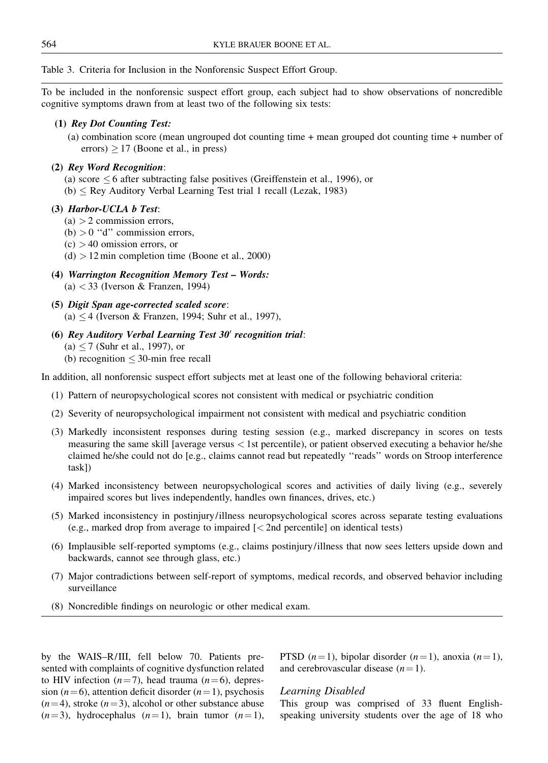Table 3. Criteria for Inclusion in the Nonforensic Suspect Effort Group.

To be included in the nonforensic suspect effort group, each subject had to show observations of noncredible cognitive symptoms drawn from at least two of the following six tests:

#### (1) Rey Dot Counting Test:

(a) combination score (mean ungrouped dot counting time + mean grouped dot counting time + number of  $\text{errors}$ )  $> 17$  (Boone et al., in press)

#### (2) Rey Word Recognition:

- (a) score  $\leq$  6 after subtracting false positives (Greiffenstein et al., 1996), or
- $(b) \leq$  Rey Auditory Verbal Learning Test trial 1 recall (Lezak, 1983)

#### (3) Harbor-UCLA b Test:

- $(a) > 2$  commission errors,
- (b)  $> 0$  "d" commission errors,
- $(c) > 40$  omission errors, or
- $(d) > 12$  min completion time (Boone et al., 2000)
- $(4)$  Warrington Recognition Memory Test Words: (a) < 33 (Iverson & Franzen, 1994)
- (5) Digit Span age-corrected scaled score: (a)  $\leq$  4 (Iverson & Franzen, 1994; Suhr et al., 1997),
- (6) Rey Auditory Verbal Learning Test  $30'$  recognition trial:  $(a) < 7$  (Suhr et al., 1997), or (b) recognition  $\leq$  30-min free recall

In addition, all nonforensic suspect effort subjects met at least one of the following behavioral criteria:

- (1) Pattern of neuropsychological scores not consistent with medical or psychiatric condition
- (2) Severity of neuropsychological impairment not consistent with medical and psychiatric condition
- (3) Markedly inconsistent responses during testing session (e.g., marked discrepancy in scores on tests measuring the same skill [average versus < 1st percentile), or patient observed executing a behavior he/she claimed he/she could not do [e.g., claims cannot read but repeatedly "reads" words on Stroop interference task])
- (4) Marked inconsistency between neuropsychological scores and activities of daily living (e.g., severely impaired scores but lives independently, handles own finances, drives, etc.)
- (5) Marked inconsistency in postinjury/illness neuropsychological scores across separate testing evaluations (e.g., marked drop from average to impaired [< 2nd percentile] on identical tests)
- (6) Implausible self-reported symptoms (e.g., claims postinjury/illness that now sees letters upside down and backwards, cannot see through glass, etc.)
- (7) Major contradictions between self-report of symptoms, medical records, and observed behavior including surveillance
- (8) Noncredible findings on neurologic or other medical exam.

by the WAIS-R/III, fell below 70. Patients presented with complaints of cognitive dysfunction related to HIV infection  $(n=7)$ , head trauma  $(n=6)$ , depression ( $n=6$ ), attention deficit disorder ( $n=1$ ), psychosis  $(n=4)$ , stroke  $(n=3)$ , alcohol or other substance abuse  $(n=3)$ , hydrocephalus  $(n=1)$ , brain tumor  $(n=1)$ , PTSD  $(n=1)$ , bipolar disorder  $(n=1)$ , anoxia  $(n=1)$ , and cerebrovascular disease  $(n=1)$ .

#### Learning Disabled

This group was comprised of 33 fluent Englishspeaking university students over the age of 18 who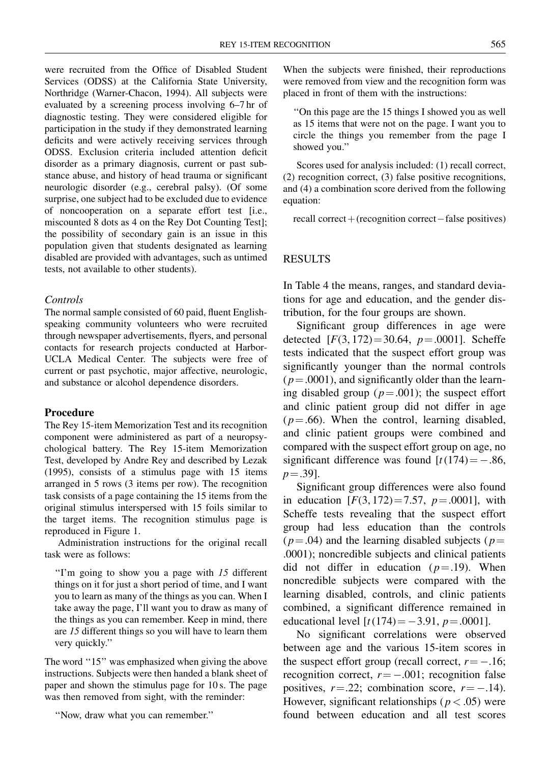were recruited from the Office of Disabled Student Services (ODSS) at the California State University, Northridge (Warner-Chacon, 1994). All subjects were evaluated by a screening process involving 6-7 hr of diagnostic testing. They were considered eligible for participation in the study if they demonstrated learning deficits and were actively receiving services through ODSS. Exclusion criteria included attention deficit disorder as a primary diagnosis, current or past substance abuse, and history of head trauma or significant neurologic disorder (e.g., cerebral palsy). (Of some surprise, one subject had to be excluded due to evidence of noncooperation on a separate effort test [i.e., miscounted 8 dots as 4 on the Rey Dot Counting Test]; the possibility of secondary gain is an issue in this population given that students designated as learning disabled are provided with advantages, such as untimed tests, not available to other students).

#### Controls

The normal sample consisted of 60 paid, fluent Englishspeaking community volunteers who were recruited through newspaper advertisements, flyers, and personal contacts for research projects conducted at Harbor-UCLA Medical Center. The subjects were free of current or past psychotic, major affective, neurologic, and substance or alcohol dependence disorders.

#### Procedure

The Rey 15-item Memorization Test and its recognition component were administered as part of a neuropsychological battery. The Rey 15-item Memorization Test, developed by Andre Rey and described by Lezak (1995), consists of a stimulus page with 15 items arranged in 5 rows (3 items per row). The recognition task consists of a page containing the 15 items from the original stimulus interspersed with 15 foils similar to the target items. The recognition stimulus page is reproduced in Figure 1.

Administration instructions for the original recall task were as follows:

"I'm going to show you a page with  $15$  different things on it for just a short period of time, and I want you to learn as many of the things as you can. When I take away the page, I'll want you to draw as many of the things as you can remember. Keep in mind, there are 15 different things so you will have to learn them very quickly.''

The word "15" was emphasized when giving the above instructions. Subjects were then handed a blank sheet of paper and shown the stimulus page for 10 s. The page was then removed from sight, with the reminder:

``Now, draw what you can remember.''

When the subjects were finished, their reproductions were removed from view and the recognition form was placed in front of them with the instructions:

``On this page are the 15 things I showed you as well as 15 items that were not on the page. I want you to circle the things you remember from the page I showed you.''

Scores used for analysis included: (1) recall correct, (2) recognition correct, (3) false positive recognitions, and (4) a combination score derived from the following equation:

recall correct  $+(recognition correct-false positives)$ 

#### RESULTS

In Table 4 the means, ranges, and standard deviations for age and education, and the gender distribution, for the four groups are shown.

Significant group differences in age were detected  $[F(3, 172) = 30.64, p = .0001]$ . Scheffe tests indicated that the suspect effort group was significantly younger than the normal controls  $(p=.0001)$ , and significantly older than the learning disabled group ( $p = .001$ ); the suspect effort and clinic patient group did not differ in age  $(p=.66)$ . When the control, learning disabled, and clinic patient groups were combined and compared with the suspect effort group on age, no significant difference was found  $[t(174) = -.86$ ,  $p = .39$ ].

Significant group differences were also found in education  $[F(3, 172) = 7.57, p = .0001]$ , with Scheffe tests revealing that the suspect effort group had less education than the controls  $(p=.04)$  and the learning disabled subjects ( $p=$ .0001); noncredible subjects and clinical patients did not differ in education ( $p = .19$ ). When noncredible subjects were compared with the learning disabled, controls, and clinic patients combined, a significant difference remained in educational level  $[t(174) = -3.91, p = .0001]$ .

No significant correlations were observed between age and the various 15-item scores in the suspect effort group (recall correct,  $r = -.16$ ; recognition correct,  $r = -.001$ ; recognition false positives,  $r = .22$ ; combination score,  $r = -.14$ ). However, significant relationships ( $p < .05$ ) were found between education and all test scores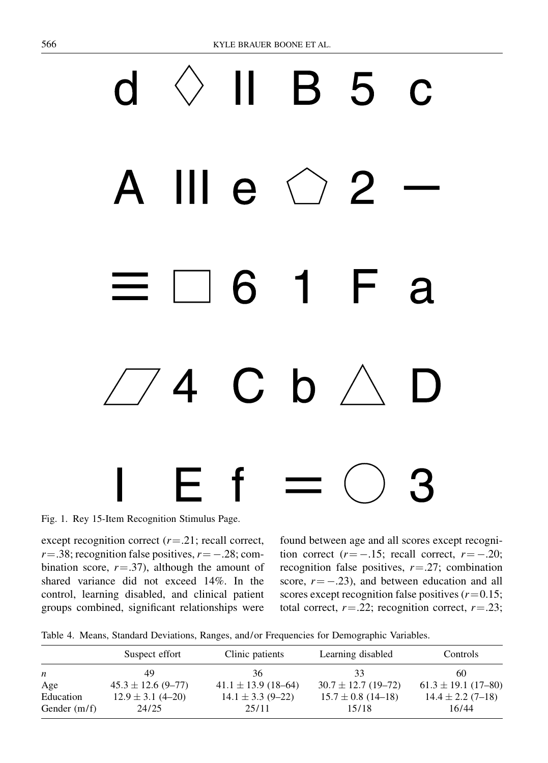# 5 C Ш 2  $\mathbf{e}$ 6 1 R  $C<sub>b</sub>$ 4

Fig. 1. Rey 15-Item Recognition Stimulus Page.

except recognition correct  $(r=.21;$  recall correct,  $r = .38$ ; recognition false positives,  $r = -.28$ ; combination score,  $r = .37$ ), although the amount of shared variance did not exceed 14%. In the control, learning disabled, and clinical patient groups combined, significant relationships were found between age and all scores except recognition correct ( $r = -.15$ ; recall correct,  $r = -.20$ ; recognition false positives,  $r = .27$ ; combination score,  $r = -.23$ ), and between education and all scores except recognition false positives  $(r=0.15;$ total correct,  $r = .22$ ; recognition correct,  $r = .23$ ;

Table 4. Means, Standard Deviations, Ranges, and/or Frequencies for Demographic Variables.

|                  | Suspect effort         | Clinic patients         | Learning disabled       | Controls                |
|------------------|------------------------|-------------------------|-------------------------|-------------------------|
| $\boldsymbol{n}$ | 49                     | 36                      | 33.                     | 60                      |
| Age              | $45.3 \pm 12.6$ (9-77) | $41.1 \pm 13.9$ (18-64) | $30.7 \pm 12.7$ (19-72) | $61.3 \pm 19.1$ (17-80) |
| Education        | $12.9 \pm 3.1$ (4-20)  | $14.1 \pm 3.3$ (9-22)   | $15.7 \pm 0.8$ (14-18)  | $14.4 \pm 2.2$ (7-18)   |
| Gender $(m/f)$   | 24/25                  | 25/11                   | 15/18                   | 16/44                   |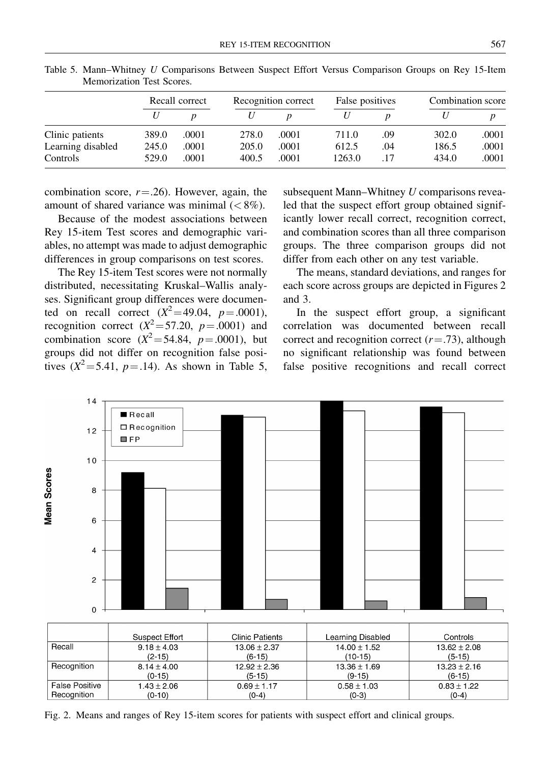|                   |       | Recall correct |       | Recognition correct |        | False positives |       | Combination score |  |
|-------------------|-------|----------------|-------|---------------------|--------|-----------------|-------|-------------------|--|
|                   |       |                |       |                     |        |                 |       |                   |  |
| Clinic patients   | 389.0 | .0001          | 278.0 | .0001               | 711.0  | .09             | 302.0 | .0001             |  |
| Learning disabled | 245.0 | .0001          | 205.0 | .0001               | 612.5  | .04             | 186.5 | .0001             |  |
| Controls          | 529.0 | .0001          | 400.5 | .0001               | 1263.0 | .17             | 434.0 | .0001             |  |

Table 5. Mann-Whitney U Comparisons Between Suspect Effort Versus Comparison Groups on Rey 15-Item Memorization Test Scores.

combination score,  $r = 0.26$ . However, again, the amount of shared variance was minimal  $(< 8\%$ ).

Because of the modest associations between Rey 15-item Test scores and demographic variables, no attempt was made to adjust demographic differences in group comparisons on test scores.

The Rey 15-item Test scores were not normally distributed, necessitating Kruskal±Wallis analyses. Significant group differences were documented on recall correct  $(X^2 = 49.04, p = .0001)$ , recognition correct  $(X^2 = 57.20, p = .0001)$  and combination score  $(X^2 = 54.84, p = .0001)$ , but groups did not differ on recognition false positives  $(X^2 = 5.41, p = .14)$ . As shown in Table 5,

subsequent Mann-Whitney  $U$  comparisons revealed that the suspect effort group obtained significantly lower recall correct, recognition correct, and combination scores than all three comparison groups. The three comparison groups did not differ from each other on any test variable.

The means, standard deviations, and ranges for each score across groups are depicted in Figures 2 and 3.

In the suspect effort group, a significant correlation was documented between recall correct and recognition correct  $(r=.73)$ , although no significant relationship was found between false positive recognitions and recall correct



Fig. 2. Means and ranges of Rey 15-item scores for patients with suspect effort and clinical groups.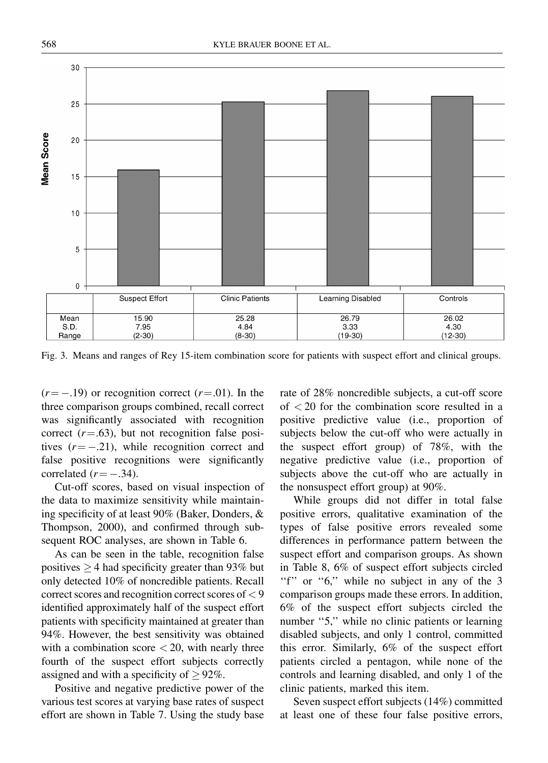

Fig. 3. Means and ranges of Rey 15-item combination score for patients with suspect effort and clinical groups.

 $(r = -.19)$  or recognition correct  $(r=.01)$ . In the three comparison groups combined, recall correct was significantly associated with recognition correct  $(r=.63)$ , but not recognition false positives  $(r = -.21)$ , while recognition correct and false positive recognitions were significantly correlated  $(r = -.34)$ .

Cut-off scores, based on visual inspection of the data to maximize sensitivity while maintaining specificity of at least  $90\%$  (Baker, Donders,  $\&$ Thompson, 2000), and confirmed through subsequent ROC analyses, are shown in Table 6.

As can be seen in the table, recognition false positives  $\geq$  4 had specificity greater than 93% but only detected 10% of noncredible patients. Recall correct scores and recognition correct scores of < 9 identified approximately half of the suspect effort patients with specificity maintained at greater than 94%. However, the best sensitivity was obtained with a combination score  $<$  20, with nearly three fourth of the suspect effort subjects correctly assigned and with a specificity of  $> 92\%$ .

Positive and negative predictive power of the various test scores at varying base rates of suspect effort are shown in Table 7. Using the study base rate of 28% noncredible subjects, a cut-off score of < 20 for the combination score resulted in a positive predictive value (i.e., proportion of subjects below the cut-off who were actually in the suspect effort group) of 78%, with the negative predictive value (i.e., proportion of subjects above the cut-off who are actually in the nonsuspect effort group) at 90%.

While groups did not differ in total false positive errors, qualitative examination of the types of false positive errors revealed some differences in performance pattern between the suspect effort and comparison groups. As shown in Table 8, 6% of suspect effort subjects circled "f" or " $6$ ," while no subject in any of the 3 comparison groups made these errors. In addition, 6% of the suspect effort subjects circled the number "5," while no clinic patients or learning disabled subjects, and only 1 control, committed this error. Similarly, 6% of the suspect effort patients circled a pentagon, while none of the controls and learning disabled, and only 1 of the clinic patients, marked this item.

Seven suspect effort subjects (14%) committed at least one of these four false positive errors,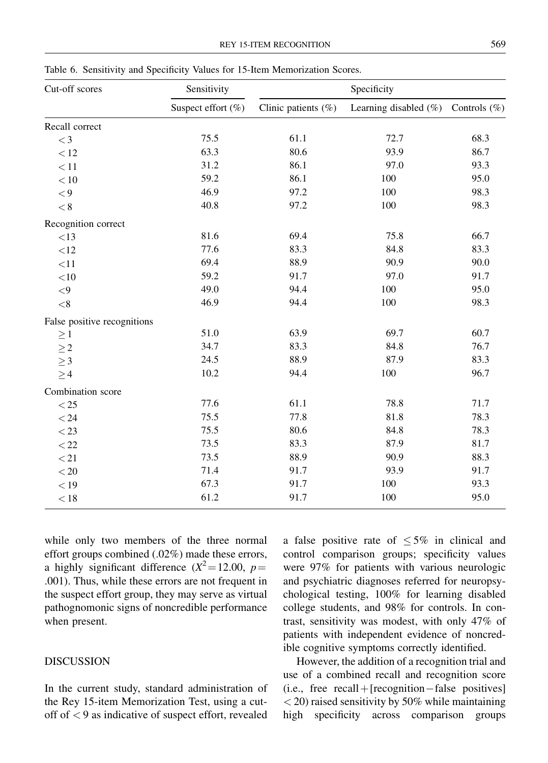| Cut-off scores              | Sensitivity        | Specificity         |                          |                 |  |
|-----------------------------|--------------------|---------------------|--------------------------|-----------------|--|
|                             | Suspect effort (%) | Clinic patients (%) | Learning disabled $(\%)$ | Controls $(\%)$ |  |
| Recall correct              |                    |                     |                          |                 |  |
| $\lt$ 3                     | 75.5               | 61.1                | 72.7                     | 68.3            |  |
| < 12                        | 63.3               | 80.6                | 93.9                     | 86.7            |  |
| < 11                        | 31.2               | 86.1                | 97.0                     | 93.3            |  |
| $<10$                       | 59.2               | 86.1                | 100                      | 95.0            |  |
| $\,<\!9$                    | 46.9               | 97.2                | 100                      | 98.3            |  |
| $< 8\,$                     | 40.8               | 97.2                | 100                      | 98.3            |  |
| Recognition correct         |                    |                     |                          |                 |  |
| $<13\,$                     | 81.6               | 69.4                | 75.8                     | 66.7            |  |
| <12                         | 77.6               | 83.3                | 84.8                     | 83.3            |  |
| <11                         | 69.4               | 88.9                | 90.9                     | 90.0            |  |
| $<$ 10                      | 59.2               | 91.7                | 97.0                     | 91.7            |  |
| $< \! 9$                    | 49.0               | 94.4                | 100                      | 95.0            |  |
| $<\!8$                      | 46.9               | 94.4                | 100                      | 98.3            |  |
| False positive recognitions |                    |                     |                          |                 |  |
| $\geq 1$                    | 51.0               | 63.9                | 69.7                     | 60.7            |  |
| $\geq\!2$                   | 34.7               | 83.3                | 84.8                     | 76.7            |  |
| $\geq$ 3                    | 24.5               | 88.9                | 87.9                     | 83.3            |  |
| $\geq 4$                    | 10.2               | 94.4                | 100                      | 96.7            |  |
| Combination score           |                    |                     |                          |                 |  |
| $<25\,$                     | 77.6               | 61.1                | 78.8                     | 71.7            |  |
| < 24                        | 75.5               | 77.8                | 81.8                     | 78.3            |  |
| $<$ 23                      | 75.5               | 80.6                | 84.8                     | 78.3            |  |
| $<$ 22                      | 73.5               | 83.3                | 87.9                     | 81.7            |  |
| < 21                        | 73.5               | 88.9                | 90.9                     | 88.3            |  |
| $< 20\,$                    | 71.4               | 91.7                | 93.9                     | 91.7            |  |
| < 19                        | 67.3               | 91.7                | 100                      | 93.3            |  |
| < 18                        | 61.2               | 91.7                | 100                      | 95.0            |  |

Table 6. Sensitivity and Specificity Values for 15-Item Memorization Scores.

while only two members of the three normal effort groups combined (.02%) made these errors, a highly significant difference  $(X^2 = 12.00, p =$ .001). Thus, while these errors are not frequent in the suspect effort group, they may serve as virtual pathognomonic signs of noncredible performance when present.

#### DISCUSSION

In the current study, standard administration of the Rey 15-item Memorization Test, using a cutoff of < 9 as indicative of suspect effort, revealed a false positive rate of  $\leq 5\%$  in clinical and control comparison groups; specificity values were 97% for patients with various neurologic and psychiatric diagnoses referred for neuropsychological testing, 100% for learning disabled college students, and 98% for controls. In contrast, sensitivity was modest, with only 47% of patients with independent evidence of noncredible cognitive symptoms correctly identified.

However, the addition of a recognition trial and use of a combined recall and recognition score (i.e., free recall +  $[recognition–false ~positives]$  $<$  20) raised sensitivity by 50% while maintaining high specificity across comparison groups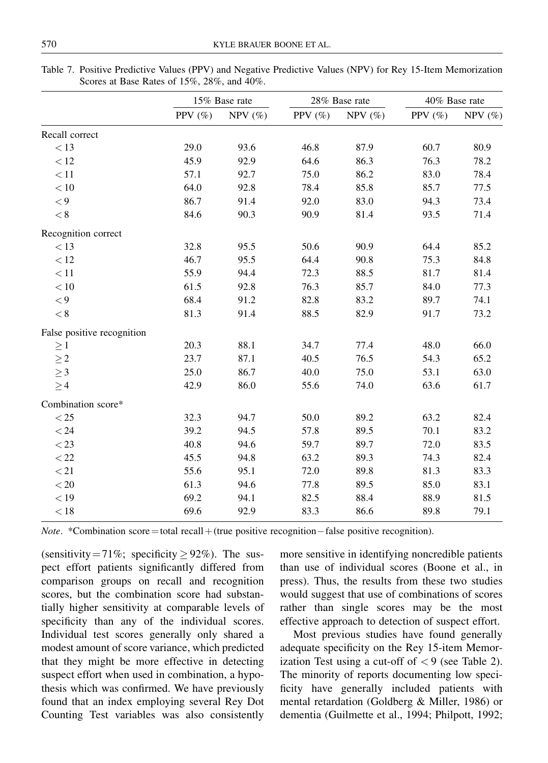|                            | 15% Base rate |            | 28% Base rate |            | 40% Base rate |            |
|----------------------------|---------------|------------|---------------|------------|---------------|------------|
|                            | PPV $(\%)$    | NPV $(\%)$ | PPV $(\% )$   | NPV $(\%)$ | PPV $(\% )$   | NPV $(\%)$ |
| Recall correct             |               |            |               |            |               |            |
| < 13                       | 29.0          | 93.6       | 46.8          | 87.9       | 60.7          | 80.9       |
| < 12                       | 45.9          | 92.9       | 64.6          | 86.3       | 76.3          | 78.2       |
| $<11$                      | 57.1          | 92.7       | 75.0          | 86.2       | 83.0          | 78.4       |
| $<10\,$                    | 64.0          | 92.8       | 78.4          | 85.8       | 85.7          | 77.5       |
| $\,<\!9$                   | 86.7          | 91.4       | 92.0          | 83.0       | 94.3          | 73.4       |
| $< 8\,$                    | 84.6          | 90.3       | 90.9          | 81.4       | 93.5          | 71.4       |
| Recognition correct        |               |            |               |            |               |            |
| < 13                       | 32.8          | 95.5       | 50.6          | 90.9       | 64.4          | 85.2       |
| < 12                       | 46.7          | 95.5       | 64.4          | 90.8       | 75.3          | 84.8       |
| $<11$                      | 55.9          | 94.4       | 72.3          | 88.5       | 81.7          | 81.4       |
| $<10\,$                    | 61.5          | 92.8       | 76.3          | 85.7       | 84.0          | 77.3       |
| $\lt 9$                    | 68.4          | 91.2       | 82.8          | 83.2       | 89.7          | 74.1       |
| $< 8\,$                    | 81.3          | 91.4       | 88.5          | 82.9       | 91.7          | 73.2       |
| False positive recognition |               |            |               |            |               |            |
| $\geq 1$                   | 20.3          | 88.1       | 34.7          | 77.4       | 48.0          | 66.0       |
| $\geq\!2$                  | 23.7          | 87.1       | 40.5          | 76.5       | 54.3          | 65.2       |
| $\geq$ 3                   | 25.0          | 86.7       | 40.0          | 75.0       | 53.1          | 63.0       |
| $\geq 4$                   | 42.9          | 86.0       | 55.6          | 74.0       | 63.6          | 61.7       |
| Combination score*         |               |            |               |            |               |            |
| < 25                       | 32.3          | 94.7       | 50.0          | 89.2       | 63.2          | 82.4       |
| < 24                       | 39.2          | 94.5       | 57.8          | 89.5       | 70.1          | 83.2       |
| $<23\,$                    | 40.8          | 94.6       | 59.7          | 89.7       | 72.0          | 83.5       |
| $<$ 22                     | 45.5          | 94.8       | 63.2          | 89.3       | 74.3          | 82.4       |
| < 21                       | 55.6          | 95.1       | 72.0          | 89.8       | 81.3          | 83.3       |
| $<\!20$                    | 61.3          | 94.6       | 77.8          | 89.5       | 85.0          | 83.1       |
| < 19                       | 69.2          | 94.1       | 82.5          | 88.4       | 88.9          | 81.5       |
| < 18                       | 69.6          | 92.9       | 83.3          | 86.6       | 89.8          | 79.1       |

Table 7. Positive Predictive Values (PPV) and Negative Predictive Values (NPV) for Rey 15-Item Memorization Scores at Base Rates of 15%, 28%, and 40%.

*Note.* \*Combination score=total recall + (true positive recognition–false positive recognition).

(sensitivity = 71%; specificity  $\geq$  92%). The suspect effort patients significantly differed from comparison groups on recall and recognition scores, but the combination score had substantially higher sensitivity at comparable levels of specificity than any of the individual scores. Individual test scores generally only shared a modest amount of score variance, which predicted that they might be more effective in detecting suspect effort when used in combination, a hypothesis which was confirmed. We have previously found that an index employing several Rey Dot Counting Test variables was also consistently more sensitive in identifying noncredible patients than use of individual scores (Boone et al., in press). Thus, the results from these two studies would suggest that use of combinations of scores rather than single scores may be the most effective approach to detection of suspect effort.

Most previous studies have found generally adequate specificity on the Rey 15-item Memorization Test using a cut-off of  $\langle 9 \rangle$  (see Table 2). The minority of reports documenting low speci ficity have generally included patients with mental retardation (Goldberg & Miller, 1986) or dementia (Guilmette et al., 1994; Philpott, 1992;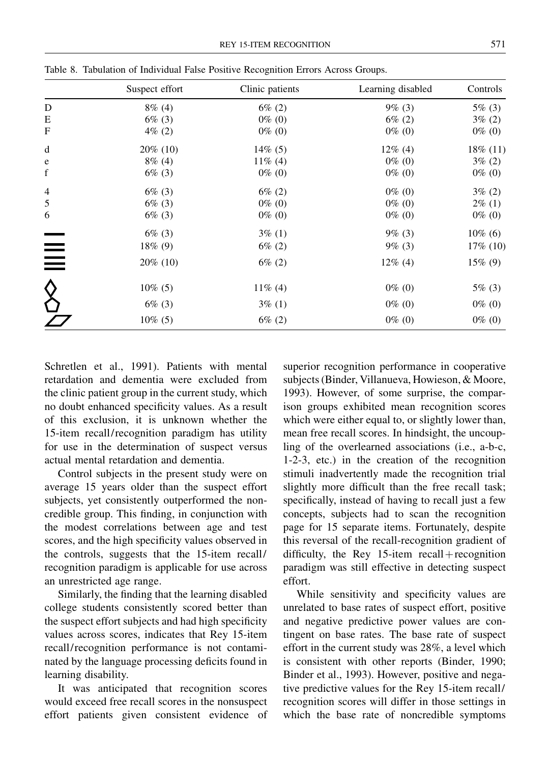|             | Suspect effort | Clinic patients | Learning disabled | Controls    |  |
|-------------|----------------|-----------------|-------------------|-------------|--|
| D           | $8\%$ (4)      | $6\%$ (2)       | $9\%$ (3)         | $5\%$ (3)   |  |
| E           | $6\%$ (3)      | $0\%$ (0)       | $6\%$ (2)         | $3\% (2)$   |  |
| F           | $4\%$ (2)      | $0\%$ (0)       | $0\%$ (0)         | $0\%$ (0)   |  |
| d           | $20\%$ (10)    | $14\%$ (5)      | $12\%$ (4)        | $18\%$ (11) |  |
| e           | $8\%$ (4)      | $11\%$ (4)      | $0\%$ (0)         | $3\% (2)$   |  |
| $\mathbf f$ | $6\%$ (3)      | $0\%$ (0)       | $0\%$ (0)         | $0\%$ (0)   |  |
| 4           | $6\%$ (3)      | $6\%$ (2)       | $0\%$ (0)         | $3\% (2)$   |  |
| 5           | $6\%$ (3)      | $0\%$ (0)       | $0\%$ (0)         | $2\%$ (1)   |  |
| 6           | $6\%$ (3)      | $0\%$ (0)       | $0\%$ (0)         | $0\%$ (0)   |  |
|             | $6\%$ (3)      | $3\%$ (1)       | $9\%$ (3)         | $10\%$ (6)  |  |
| $\equiv$    | $18\%$ (9)     | $6\% (2)$       | $9\%$ (3)         | $17\%$ (10) |  |
| $\equiv$    | $20\%$ (10)    | $6\% (2)$       | $12\%$ (4)        | $15\%$ (9)  |  |
|             | $10\%$ (5)     | $11\%$ (4)      | $0\%$ (0)         | $5\%$ (3)   |  |
|             | $6\%$ (3)      | $3\%$ (1)       | $0\%$ (0)         | $0\%$ (0)   |  |
|             | $10\%$ (5)     | $6\% (2)$       | $0\%$ (0)         | $0\%$ (0)   |  |

Table 8. Tabulation of Individual False Positive Recognition Errors Across Groups.

Schretlen et al., 1991). Patients with mental retardation and dementia were excluded from the clinic patient group in the current study, which no doubt enhanced specificity values. As a result of this exclusion, it is unknown whether the 15-item recall/recognition paradigm has utility for use in the determination of suspect versus actual mental retardation and dementia.

Control subjects in the present study were on average 15 years older than the suspect effort subjects, yet consistently outperformed the noncredible group. This finding, in conjunction with the modest correlations between age and test scores, and the high specificity values observed in the controls, suggests that the 15-item recall/ recognition paradigm is applicable for use across an unrestricted age range.

Similarly, the finding that the learning disabled college students consistently scored better than the suspect effort subjects and had high specificity values across scores, indicates that Rey 15-item recall/recognition performance is not contaminated by the language processing deficits found in learning disability.

It was anticipated that recognition scores would exceed free recall scores in the nonsuspect effort patients given consistent evidence of superior recognition performance in cooperative subjects (Binder, Villanueva, Howieson, & Moore, 1993). However, of some surprise, the comparison groups exhibited mean recognition scores which were either equal to, or slightly lower than, mean free recall scores. In hindsight, the uncoupling of the overlearned associations (i.e., a-b-c, 1-2-3, etc.) in the creation of the recognition stimuli inadvertently made the recognition trial slightly more difficult than the free recall task; specifically, instead of having to recall just a few concepts, subjects had to scan the recognition page for 15 separate items. Fortunately, despite this reversal of the recall-recognition gradient of difficulty, the Rey 15-item recall + recognition paradigm was still effective in detecting suspect effort.

While sensitivity and specificity values are unrelated to base rates of suspect effort, positive and negative predictive power values are contingent on base rates. The base rate of suspect effort in the current study was 28%, a level which is consistent with other reports (Binder, 1990; Binder et al., 1993). However, positive and negative predictive values for the Rey 15-item recall/ recognition scores will differ in those settings in which the base rate of noncredible symptoms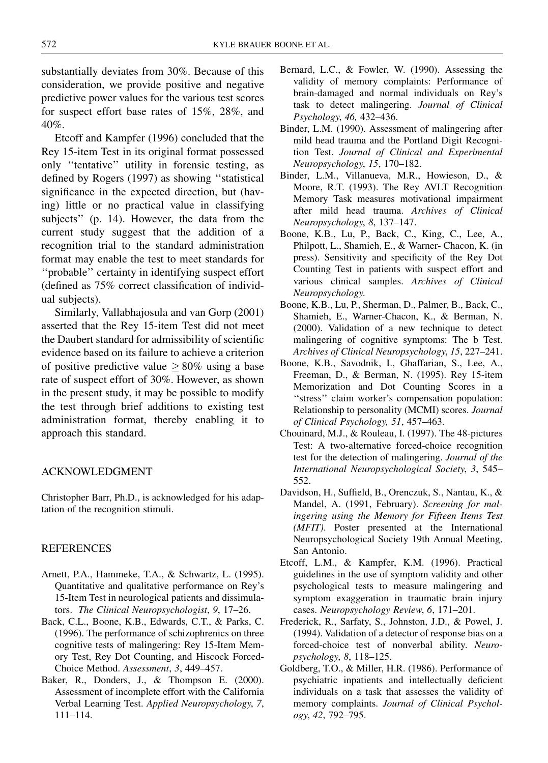substantially deviates from 30%. Because of this consideration, we provide positive and negative predictive power values for the various test scores for suspect effort base rates of 15%, 28%, and 40%.

Etcoff and Kampfer (1996) concluded that the Rey 15-item Test in its original format possessed only "tentative" utility in forensic testing, as defined by Rogers (1997) as showing "statistical significance in the expected direction, but (having) little or no practical value in classifying subjects'' (p. 14). However, the data from the current study suggest that the addition of a recognition trial to the standard administration format may enable the test to meet standards for ``probable'' certainty in identifying suspect effort (defined as  $75\%$  correct classification of individual subjects).

Similarly, Vallabhajosula and van Gorp (2001) asserted that the Rey 15-item Test did not meet the Daubert standard for admissibility of scientific evidence based on its failure to achieve a criterion of positive predictive value  $\geq 80\%$  using a base rate of suspect effort of 30%. However, as shown in the present study, it may be possible to modify the test through brief additions to existing test administration format, thereby enabling it to approach this standard.

# ACKNOWLEDGMENT

Christopher Barr, Ph.D., is acknowledged for his adaptation of the recognition stimuli.

### **REFERENCES**

- Arnett, P.A., Hammeke, T.A., & Schwartz, L. (1995). Quantitative and qualitative performance on Rey's 15-Item Test in neurological patients and dissimulators. The Clinical Neuropsychologist, 9, 17–26.
- Back, C.L., Boone, K.B., Edwards, C.T., & Parks, C. (1996). The performance of schizophrenics on three cognitive tests of malingering: Rey 15-Item Memory Test, Rey Dot Counting, and Hiscock Forced-Choice Method. Assessment, 3, 449-457.
- Baker, R., Donders, J., & Thompson E. (2000). Assessment of incomplete effort with the California Verbal Learning Test. Applied Neuropsychology, 7, 111±114.
- Bernard, L.C., & Fowler, W. (1990). Assessing the validity of memory complaints: Performance of brain-damaged and normal individuals on Rey's task to detect malingering. Journal of Clinical Psychology, 46, 432-436.
- Binder, L.M. (1990). Assessment of malingering after mild head trauma and the Portland Digit Recognition Test. Journal of Clinical and Experimental Neuropsychology, 15, 170-182.
- Binder, L.M., Villanueva, M.R., Howieson, D., & Moore, R.T. (1993). The Rey AVLT Recognition Memory Task measures motivational impairment after mild head trauma. Archives of Clinical Neuropsychology, 8, 137-147.
- Boone, K.B., Lu, P., Back, C., King, C., Lee, A., Philpott, L., Shamieh, E., & Warner- Chacon, K. (in press). Sensitivity and specificity of the Rey Dot Counting Test in patients with suspect effort and various clinical samples. Archives of Clinical Neuropsychology.
- Boone, K.B., Lu, P., Sherman, D., Palmer, B., Back, C., Shamieh, E., Warner-Chacon, K., & Berman, N. (2000). Validation of a new technique to detect malingering of cognitive symptoms: The b Test. Archives of Clinical Neuropsychology, 15, 227-241.
- Boone, K.B., Savodnik, I., Ghaffarian, S., Lee, A., Freeman, D., & Berman, N. (1995). Rey 15-item Memorization and Dot Counting Scores in a ``stress'' claim worker's compensation population: Relationship to personality (MCMI) scores. Journal of Clinical Psychology, 51, 457-463.
- Chouinard, M.J., & Rouleau, I. (1997). The 48-pictures Test: A two-alternative forced-choice recognition test for the detection of malingering. Journal of the International Neuropsychological Society, 3, 545-552.
- Davidson, H., Suffield, B., Orenczuk, S., Nantau, K., & Mandel, A. (1991, February). Screening for malingering using the Memory for Fifteen Items Test (MFIT). Poster presented at the International Neuropsychological Society 19th Annual Meeting, San Antonio.
- Etcoff, L.M., & Kampfer, K.M. (1996). Practical guidelines in the use of symptom validity and other psychological tests to measure malingering and symptom exaggeration in traumatic brain injury cases. Neuropsychology Review, 6, 171–201.
- Frederick, R., Sarfaty, S., Johnston, J.D., & Powel, J. (1994). Validation of a detector of response bias on a forced-choice test of nonverbal ability. Neuropsychology, 8, 118-125.
- Goldberg, T.O., & Miller, H.R. (1986). Performance of psychiatric inpatients and intellectually deficient individuals on a task that assesses the validity of memory complaints. Journal of Clinical Psychology, 42, 792-795.